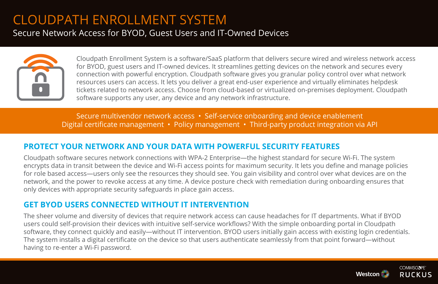# CLOUDPATH ENROLLMENT SYSTEM

Secure Network Access for BYOD, Guest Users and IT-Owned Devices



Cloudpath Enrollment System is a software/SaaS platform that delivers secure wired and wireless network access for BYOD, guest users and IT-owned devices. It streamlines getting devices on the network and secures every connection with powerful encryption. Cloudpath software gives you granular policy control over what network resources users can access. It lets you deliver a great end-user experience and virtually eliminates helpdesk tickets related to network access. Choose from cloud-based or virtualized on-premises deployment. Cloudpath software supports any user, any device and any network infrastructure.

Secure multivendor network access • Self-service onboarding and device enablement Digital certificate management • Policy management • Third-party product integration via API Ruckus Cloudpath™

## **PROTECT YOUR NETWORK AND YOUR DATA WITH POWERFUL SECURITY FEATURES**

Cloudpath software secures network connections with WPA-2 Enterprise—the highest standard for secure Wi-Fi. The system encrypts data in transit between the device and Wi-Fi access points for maximum security. It lets you define and manage policies for role based access—users only see the resources they should see. You gain visibility and control over what devices are on the network, and the power to revoke access at any time. A device posture check with remediation during onboarding ensures that only devices with appropriate security safeguards in place gain access.

## **GET BYOD USERS CONNECTED WITHOUT IT INTERVENTION**

The sheer volume and diversity of devices that require network access can cause headaches for IT departments. What if BYOD users could self-provision their devices with intuitive self-service workflows? With the simple onboarding portal in Cloudpath software, they connect quickly and easily—without IT intervention. BYOD users initially gain access with existing login credentials. The system installs a digital certificate on the device so that users authenticate seamlessly from that point forward—without having to re-enter a Wi-Fi password.